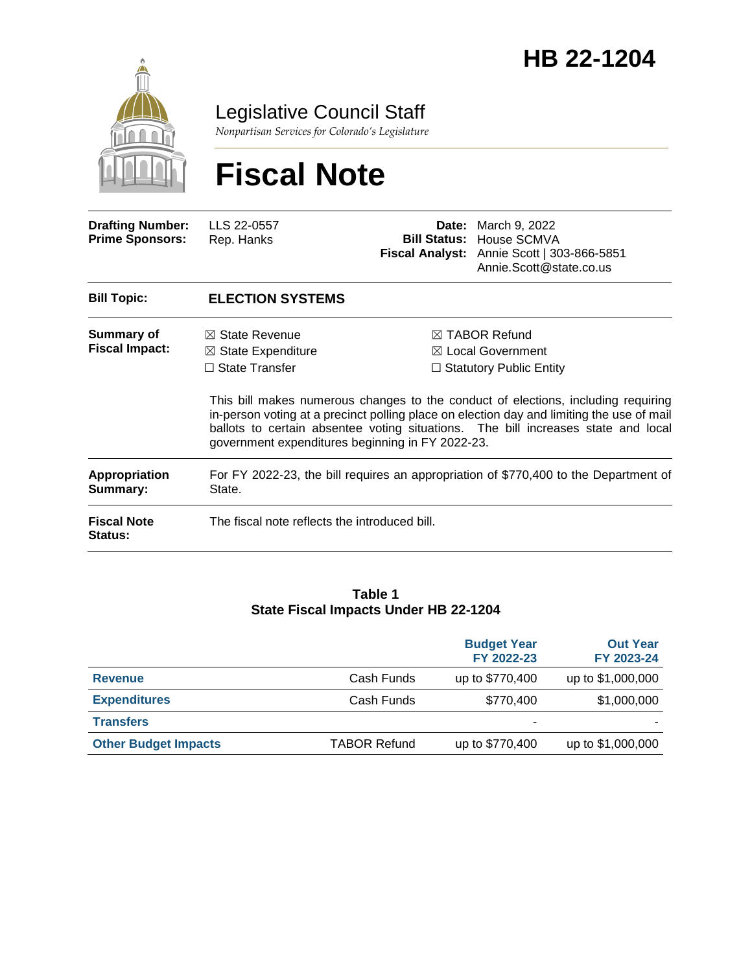

Legislative Council Staff

*Nonpartisan Services for Colorado's Legislature*

# **Fiscal Note**

| <b>Drafting Number:</b><br><b>Prime Sponsors:</b> | LLS 22-0557<br>Rep. Hanks                                                                                                               |  | <b>Date:</b> March 9, 2022<br><b>Bill Status: House SCMVA</b><br>Fiscal Analyst: Annie Scott   303-866-5851<br>Annie.Scott@state.co.us                                                                                                                                                                                                                            |  |  |
|---------------------------------------------------|-----------------------------------------------------------------------------------------------------------------------------------------|--|-------------------------------------------------------------------------------------------------------------------------------------------------------------------------------------------------------------------------------------------------------------------------------------------------------------------------------------------------------------------|--|--|
| <b>Bill Topic:</b>                                | <b>ELECTION SYSTEMS</b>                                                                                                                 |  |                                                                                                                                                                                                                                                                                                                                                                   |  |  |
| Summary of<br><b>Fiscal Impact:</b>               | $\boxtimes$ State Revenue<br>$\boxtimes$ State Expenditure<br>$\Box$ State Transfer<br>government expenditures beginning in FY 2022-23. |  | $\boxtimes$ TABOR Refund<br>$\boxtimes$ Local Government<br>$\Box$ Statutory Public Entity<br>This bill makes numerous changes to the conduct of elections, including requiring<br>in-person voting at a precinct polling place on election day and limiting the use of mail<br>ballots to certain absentee voting situations. The bill increases state and local |  |  |
| <b>Appropriation</b><br>Summary:                  | For FY 2022-23, the bill requires an appropriation of \$770,400 to the Department of<br>State.                                          |  |                                                                                                                                                                                                                                                                                                                                                                   |  |  |
| <b>Fiscal Note</b><br>Status:                     | The fiscal note reflects the introduced bill.                                                                                           |  |                                                                                                                                                                                                                                                                                                                                                                   |  |  |

#### **Table 1 State Fiscal Impacts Under HB 22-1204**

|                             |                     | <b>Budget Year</b><br>FY 2022-23 | <b>Out Year</b><br>FY 2023-24 |
|-----------------------------|---------------------|----------------------------------|-------------------------------|
| <b>Revenue</b>              | Cash Funds          | up to \$770,400                  | up to \$1,000,000             |
| <b>Expenditures</b>         | Cash Funds          | \$770,400                        | \$1,000,000                   |
| <b>Transfers</b>            |                     |                                  |                               |
| <b>Other Budget Impacts</b> | <b>TABOR Refund</b> | up to \$770,400                  | up to \$1,000,000             |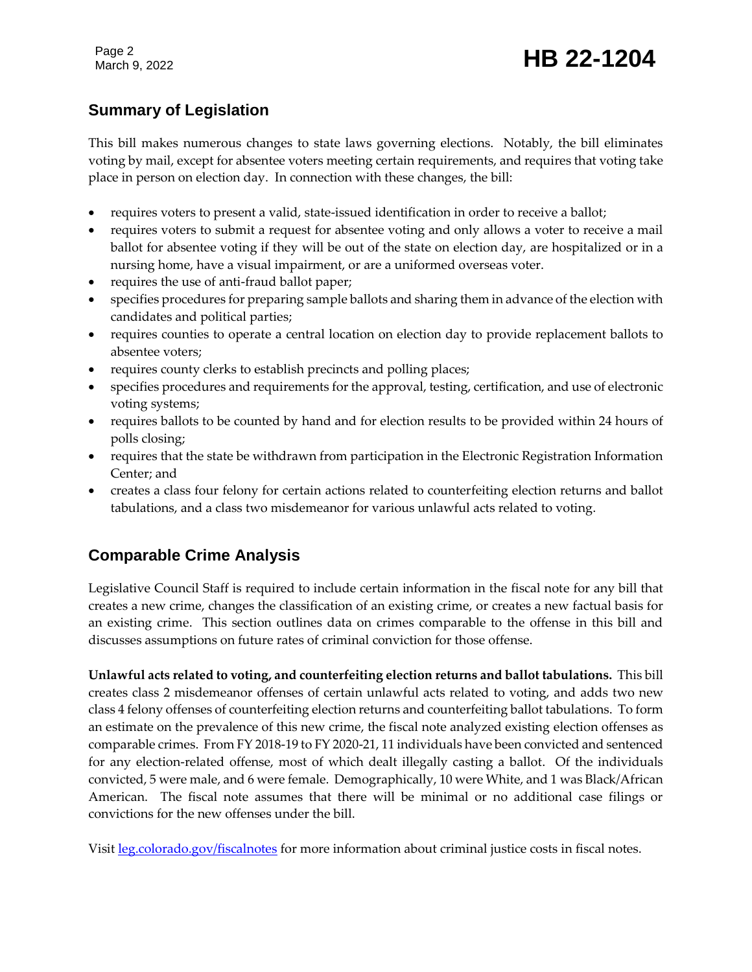## Page 2<br>March 9, 2022 **HB 22-1204**

## **Summary of Legislation**

This bill makes numerous changes to state laws governing elections. Notably, the bill eliminates voting by mail, except for absentee voters meeting certain requirements, and requires that voting take place in person on election day. In connection with these changes, the bill:

- requires voters to present a valid, state-issued identification in order to receive a ballot;
- requires voters to submit a request for absentee voting and only allows a voter to receive a mail ballot for absentee voting if they will be out of the state on election day, are hospitalized or in a nursing home, have a visual impairment, or are a uniformed overseas voter.
- requires the use of anti-fraud ballot paper;
- specifies procedures for preparing sample ballots and sharing them in advance of the election with candidates and political parties;
- requires counties to operate a central location on election day to provide replacement ballots to absentee voters;
- requires county clerks to establish precincts and polling places;
- specifies procedures and requirements for the approval, testing, certification, and use of electronic voting systems;
- requires ballots to be counted by hand and for election results to be provided within 24 hours of polls closing;
- requires that the state be withdrawn from participation in the Electronic Registration Information Center; and
- creates a class four felony for certain actions related to counterfeiting election returns and ballot tabulations, and a class two misdemeanor for various unlawful acts related to voting.

## **Comparable Crime Analysis**

Legislative Council Staff is required to include certain information in the fiscal note for any bill that creates a new crime, changes the classification of an existing crime, or creates a new factual basis for an existing crime. This section outlines data on crimes comparable to the offense in this bill and discusses assumptions on future rates of criminal conviction for those offense.

**Unlawful acts related to voting, and counterfeiting election returns and ballot tabulations.** This bill creates class 2 misdemeanor offenses of certain unlawful acts related to voting, and adds two new class 4 felony offenses of counterfeiting election returns and counterfeiting ballot tabulations. To form an estimate on the prevalence of this new crime, the fiscal note analyzed existing election offenses as comparable crimes. From FY 2018-19 to FY 2020-21, 11 individuals have been convicted and sentenced for any election-related offense, most of which dealt illegally casting a ballot. Of the individuals convicted, 5 were male, and 6 were female. Demographically, 10 were White, and 1 was Black/African American. The fiscal note assumes that there will be minimal or no additional case filings or convictions for the new offenses under the bill.

Visit [leg.colorado.gov/fiscalnotes](http://leg.colorado.gov/fiscalnotes/) for more information about criminal justice costs in fiscal notes.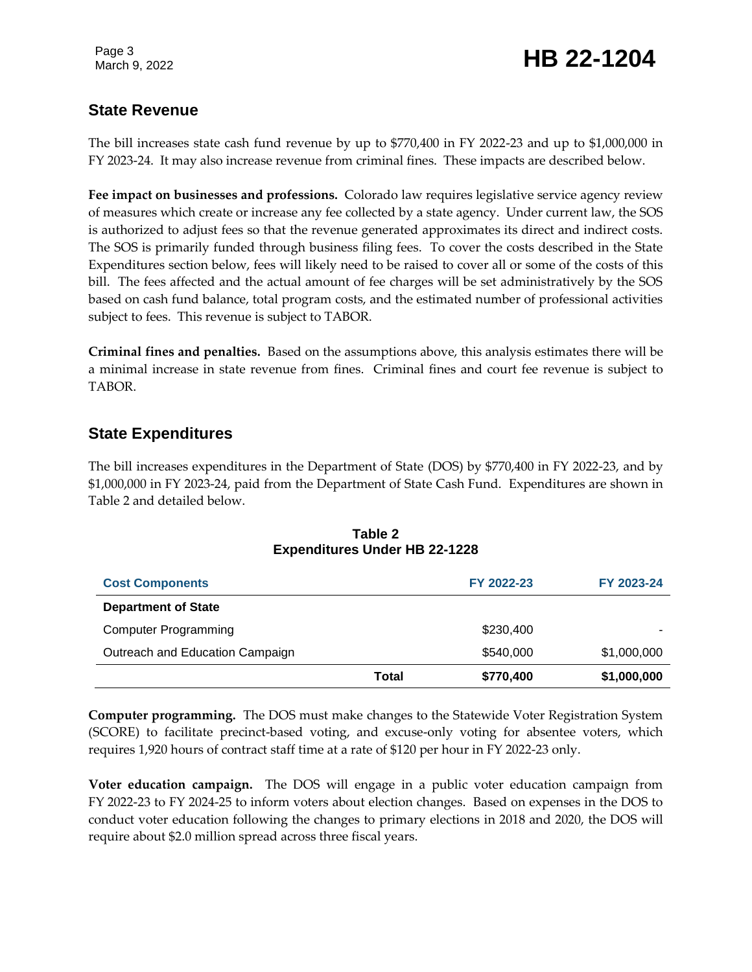## Page 3<br>March 9, 2022 **HB 22-1204**

## **State Revenue**

The bill increases state cash fund revenue by up to \$770,400 in FY 2022-23 and up to \$1,000,000 in FY 2023-24. It may also increase revenue from criminal fines. These impacts are described below.

**Fee impact on businesses and professions.** Colorado law requires legislative service agency review of measures which create or increase any fee collected by a state agency. Under current law, the SOS is authorized to adjust fees so that the revenue generated approximates its direct and indirect costs. The SOS is primarily funded through business filing fees. To cover the costs described in the State Expenditures section below, fees will likely need to be raised to cover all or some of the costs of this bill. The fees affected and the actual amount of fee charges will be set administratively by the SOS based on cash fund balance, total program costs, and the estimated number of professional activities subject to fees. This revenue is subject to TABOR.

**Criminal fines and penalties.** Based on the assumptions above, this analysis estimates there will be a minimal increase in state revenue from fines. Criminal fines and court fee revenue is subject to TABOR.

### **State Expenditures**

The bill increases expenditures in the Department of State (DOS) by \$770,400 in FY 2022-23, and by \$1,000,000 in FY 2023-24, paid from the Department of State Cash Fund. Expenditures are shown in Table 2 and detailed below.

| <b>Cost Components</b>          |       | FY 2022-23 | FY 2023-24  |
|---------------------------------|-------|------------|-------------|
| <b>Department of State</b>      |       |            |             |
| <b>Computer Programming</b>     |       | \$230,400  |             |
| Outreach and Education Campaign |       | \$540,000  | \$1,000,000 |
|                                 | Total | \$770,400  | \$1,000,000 |

#### **Table 2 Expenditures Under HB 22-1228**

**Computer programming.** The DOS must make changes to the Statewide Voter Registration System (SCORE) to facilitate precinct-based voting, and excuse-only voting for absentee voters, which requires 1,920 hours of contract staff time at a rate of \$120 per hour in FY 2022-23 only.

**Voter education campaign.** The DOS will engage in a public voter education campaign from FY 2022-23 to FY 2024-25 to inform voters about election changes. Based on expenses in the DOS to conduct voter education following the changes to primary elections in 2018 and 2020, the DOS will require about \$2.0 million spread across three fiscal years.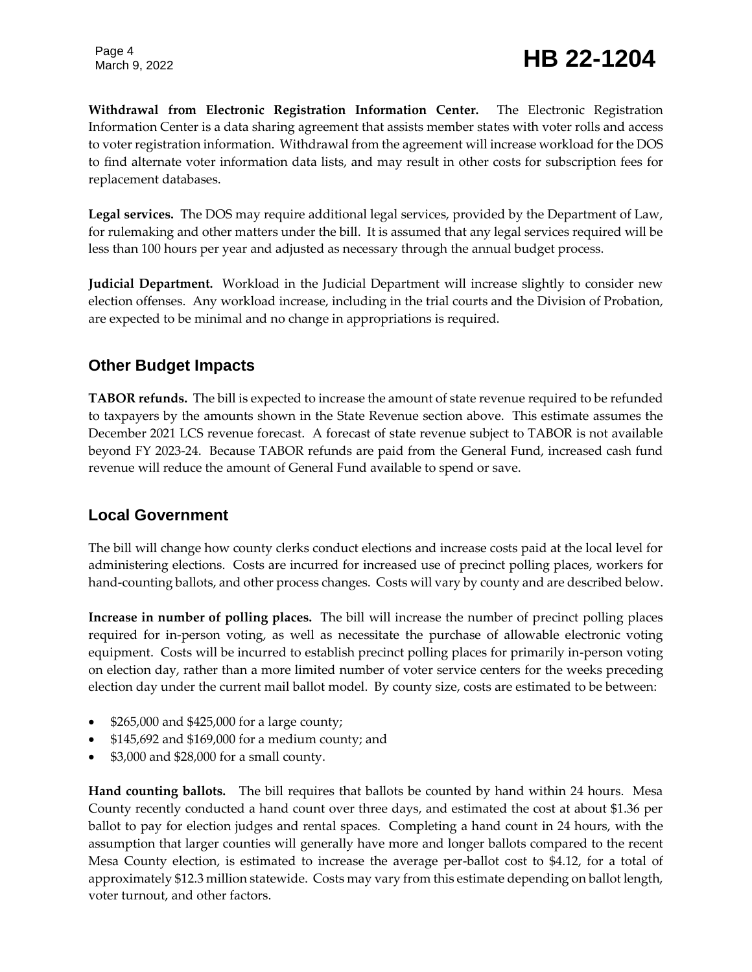**Withdrawal from Electronic Registration Information Center.** The Electronic Registration Information Center is a data sharing agreement that assists member states with voter rolls and access to voter registration information. Withdrawal from the agreement will increase workload for the DOS to find alternate voter information data lists, and may result in other costs for subscription fees for replacement databases.

**Legal services.** The DOS may require additional legal services, provided by the Department of Law, for rulemaking and other matters under the bill. It is assumed that any legal services required will be less than 100 hours per year and adjusted as necessary through the annual budget process.

**Judicial Department.** Workload in the Judicial Department will increase slightly to consider new election offenses. Any workload increase, including in the trial courts and the Division of Probation, are expected to be minimal and no change in appropriations is required.

## **Other Budget Impacts**

**TABOR refunds.** The bill is expected to increase the amount of state revenue required to be refunded to taxpayers by the amounts shown in the State Revenue section above. This estimate assumes the December 2021 LCS revenue forecast. A forecast of state revenue subject to TABOR is not available beyond FY 2023-24. Because TABOR refunds are paid from the General Fund, increased cash fund revenue will reduce the amount of General Fund available to spend or save.

### **Local Government**

The bill will change how county clerks conduct elections and increase costs paid at the local level for administering elections. Costs are incurred for increased use of precinct polling places, workers for hand-counting ballots, and other process changes. Costs will vary by county and are described below.

**Increase in number of polling places.** The bill will increase the number of precinct polling places required for in-person voting, as well as necessitate the purchase of allowable electronic voting equipment. Costs will be incurred to establish precinct polling places for primarily in-person voting on election day, rather than a more limited number of voter service centers for the weeks preceding election day under the current mail ballot model. By county size, costs are estimated to be between:

- \$265,000 and \$425,000 for a large county;
- \$145,692 and \$169,000 for a medium county; and
- \$3,000 and \$28,000 for a small county.

**Hand counting ballots.** The bill requires that ballots be counted by hand within 24 hours. Mesa County recently conducted a hand count over three days, and estimated the cost at about \$1.36 per ballot to pay for election judges and rental spaces. Completing a hand count in 24 hours, with the assumption that larger counties will generally have more and longer ballots compared to the recent Mesa County election, is estimated to increase the average per-ballot cost to \$4.12, for a total of approximately \$12.3 million statewide. Costs may vary from this estimate depending on ballot length, voter turnout, and other factors.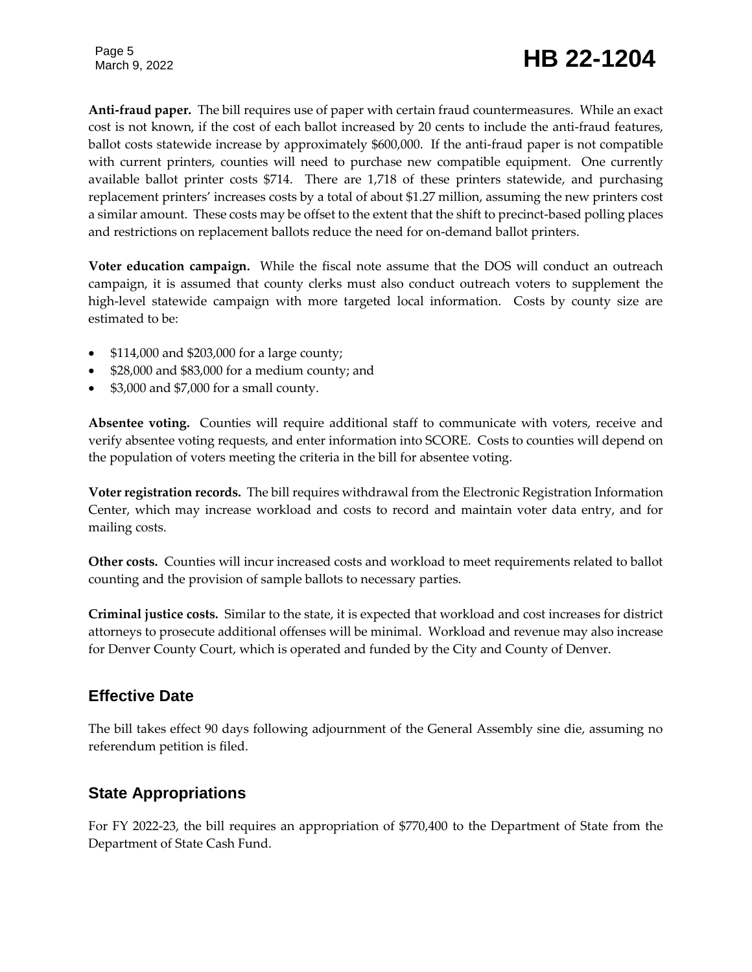## Page 5<br>March 9, 2022 **HB 22-1204**

**Anti-fraud paper.** The bill requires use of paper with certain fraud countermeasures. While an exact cost is not known, if the cost of each ballot increased by 20 cents to include the anti-fraud features, ballot costs statewide increase by approximately \$600,000. If the anti-fraud paper is not compatible with current printers, counties will need to purchase new compatible equipment. One currently available ballot printer costs \$714. There are 1,718 of these printers statewide, and purchasing replacement printers' increases costs by a total of about \$1.27 million, assuming the new printers cost a similar amount. These costs may be offset to the extent that the shift to precinct-based polling places and restrictions on replacement ballots reduce the need for on-demand ballot printers.

**Voter education campaign.** While the fiscal note assume that the DOS will conduct an outreach campaign, it is assumed that county clerks must also conduct outreach voters to supplement the high-level statewide campaign with more targeted local information. Costs by county size are estimated to be:

- \$114,000 and \$203,000 for a large county;
- \$28,000 and \$83,000 for a medium county; and
- \$3,000 and \$7,000 for a small county.

**Absentee voting.** Counties will require additional staff to communicate with voters, receive and verify absentee voting requests, and enter information into SCORE. Costs to counties will depend on the population of voters meeting the criteria in the bill for absentee voting.

**Voter registration records.** The bill requires withdrawal from the Electronic Registration Information Center, which may increase workload and costs to record and maintain voter data entry, and for mailing costs.

**Other costs.** Counties will incur increased costs and workload to meet requirements related to ballot counting and the provision of sample ballots to necessary parties.

**Criminal justice costs.** Similar to the state, it is expected that workload and cost increases for district attorneys to prosecute additional offenses will be minimal. Workload and revenue may also increase for Denver County Court, which is operated and funded by the City and County of Denver.

#### **Effective Date**

The bill takes effect 90 days following adjournment of the General Assembly sine die, assuming no referendum petition is filed.

### **State Appropriations**

For FY 2022-23, the bill requires an appropriation of \$770,400 to the Department of State from the Department of State Cash Fund.